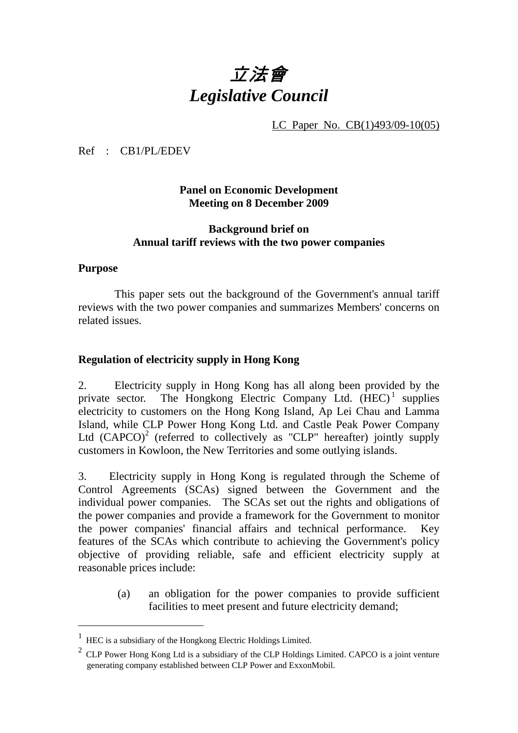# 立法會 *Legislative Council*

LC Paper No. CB(1)493/09-10(05)

Ref : CB1/PL/EDEV

## **Panel on Economic Development Meeting on 8 December 2009**

## **Background brief on Annual tariff reviews with the two power companies**

## **Purpose**

-

 This paper sets out the background of the Government's annual tariff reviews with the two power companies and summarizes Members' concerns on related issues.

## **Regulation of electricity supply in Hong Kong**

2. Electricity supply in Hong Kong has all along been provided by the private sector. The Hongkong Electric Company Ltd.  $(HEC)^1$  supplies electricity to customers on the Hong Kong Island, Ap Lei Chau and Lamma Island, while CLP Power Hong Kong Ltd. and Castle Peak Power Company Ltd  $(CAPCO)^2$  (referred to collectively as "CLP" hereafter) jointly supply customers in Kowloon, the New Territories and some outlying islands.

3. Electricity supply in Hong Kong is regulated through the Scheme of Control Agreements (SCAs) signed between the Government and the individual power companies. The SCAs set out the rights and obligations of the power companies and provide a framework for the Government to monitor the power companies' financial affairs and technical performance. Key features of the SCAs which contribute to achieving the Government's policy objective of providing reliable, safe and efficient electricity supply at reasonable prices include:

> (a) an obligation for the power companies to provide sufficient facilities to meet present and future electricity demand;

<sup>1</sup> HEC is a subsidiary of the Hongkong Electric Holdings Limited.

 $2$  CLP Power Hong Kong Ltd is a subsidiary of the CLP Holdings Limited. CAPCO is a joint venture generating company established between CLP Power and ExxonMobil.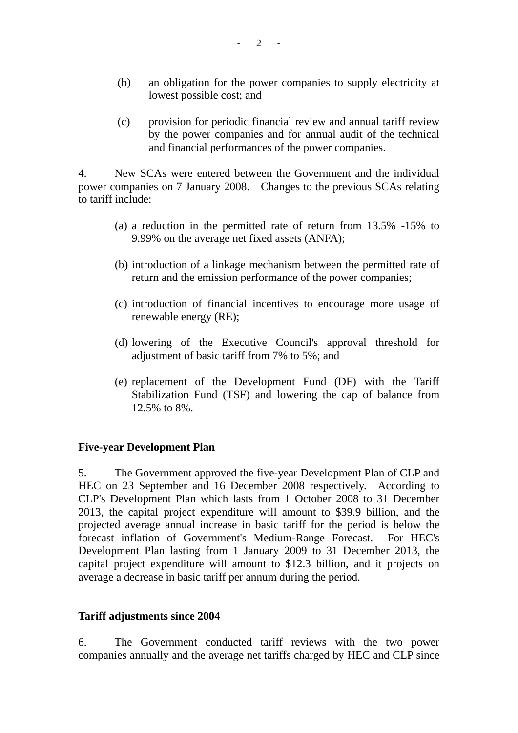- (b) an obligation for the power companies to supply electricity at lowest possible cost; and
- (c) provision for periodic financial review and annual tariff review by the power companies and for annual audit of the technical and financial performances of the power companies.

4. New SCAs were entered between the Government and the individual power companies on 7 January 2008. Changes to the previous SCAs relating to tariff include:

- (a) a reduction in the permitted rate of return from 13.5% -15% to 9.99% on the average net fixed assets (ANFA);
- (b) introduction of a linkage mechanism between the permitted rate of return and the emission performance of the power companies;
- (c) introduction of financial incentives to encourage more usage of renewable energy (RE);
- (d) lowering of the Executive Council's approval threshold for adjustment of basic tariff from 7% to 5%; and
- (e) replacement of the Development Fund (DF) with the Tariff Stabilization Fund (TSF) and lowering the cap of balance from 12.5% to 8%.

### **Five-year Development Plan**

5. The Government approved the five-year Development Plan of CLP and HEC on 23 September and 16 December 2008 respectively. According to CLP's Development Plan which lasts from 1 October 2008 to 31 December 2013, the capital project expenditure will amount to \$39.9 billion, and the projected average annual increase in basic tariff for the period is below the forecast inflation of Government's Medium-Range Forecast. For HEC's Development Plan lasting from 1 January 2009 to 31 December 2013, the capital project expenditure will amount to \$12.3 billion, and it projects on average a decrease in basic tariff per annum during the period.

### **Tariff adjustments since 2004**

6. The Government conducted tariff reviews with the two power companies annually and the average net tariffs charged by HEC and CLP since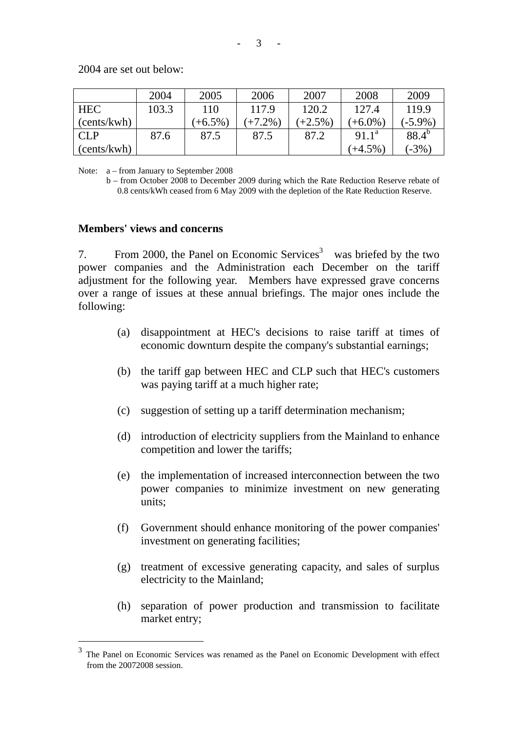2004 are set out below:

|             | 2004  | 2005       | 2006      | 2007      | 2008       | 2009       |
|-------------|-------|------------|-----------|-----------|------------|------------|
| ' HEC       | 103.3 | 110        | 117.9     | 120.2     | 127.4      | 119.9      |
| (cents/kwh) |       | $(+6.5\%)$ | $(+7.2\%$ | $(+2.5\%$ | $(+6.0\%)$ | $(-5.9\%)$ |
| <b>CLP</b>  | 87.6  | 87.5       | 87.5      | 87.2      | $91.1^a$   | $88.4^{b}$ |
| (cents/kwh) |       |            |           |           | $(+4.5\%)$ | $(-3%)$    |

Note: a – from January to September 2008

b – from October 2008 to December 2009 during which the Rate Reduction Reserve rebate of 0.8 cents/kWh ceased from 6 May 2009 with the depletion of the Rate Reduction Reserve.

#### **Members' views and concerns**

-

7. From 2000, the Panel on Economic Services<sup>3</sup> was briefed by the two power companies and the Administration each December on the tariff adjustment for the following year. Members have expressed grave concerns over a range of issues at these annual briefings. The major ones include the following:

- (a) disappointment at HEC's decisions to raise tariff at times of economic downturn despite the company's substantial earnings;
- (b) the tariff gap between HEC and CLP such that HEC's customers was paying tariff at a much higher rate;
- (c) suggestion of setting up a tariff determination mechanism;
- (d) introduction of electricity suppliers from the Mainland to enhance competition and lower the tariffs;
- (e) the implementation of increased interconnection between the two power companies to minimize investment on new generating units;
- (f) Government should enhance monitoring of the power companies' investment on generating facilities;
- (g) treatment of excessive generating capacity, and sales of surplus electricity to the Mainland;
- (h) separation of power production and transmission to facilitate market entry;

The Panel on Economic Services was renamed as the Panel on Economic Development with effect from the 20072008 session.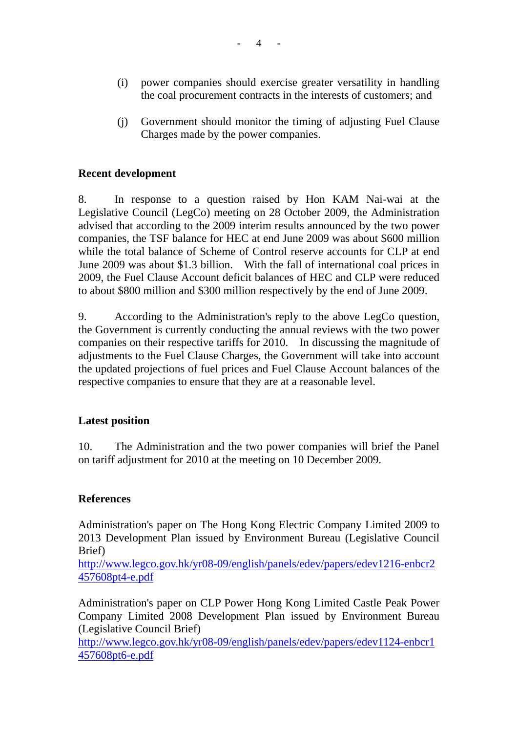- (i) power companies should exercise greater versatility in handling the coal procurement contracts in the interests of customers; and
- (j) Government should monitor the timing of adjusting Fuel Clause Charges made by the power companies.

## **Recent development**

8. In response to a question raised by Hon KAM Nai-wai at the Legislative Council (LegCo) meeting on 28 October 2009, the Administration advised that according to the 2009 interim results announced by the two power companies, the TSF balance for HEC at end June 2009 was about \$600 million while the total balance of Scheme of Control reserve accounts for CLP at end June 2009 was about \$1.3 billion. With the fall of international coal prices in 2009, the Fuel Clause Account deficit balances of HEC and CLP were reduced to about \$800 million and \$300 million respectively by the end of June 2009.

9. According to the Administration's reply to the above LegCo question, the Government is currently conducting the annual reviews with the two power companies on their respective tariffs for 2010. In discussing the magnitude of adjustments to the Fuel Clause Charges, the Government will take into account the updated projections of fuel prices and Fuel Clause Account balances of the respective companies to ensure that they are at a reasonable level.

### **Latest position**

10. The Administration and the two power companies will brief the Panel on tariff adjustment for 2010 at the meeting on 10 December 2009.

### **References**

Administration's paper on The Hong Kong Electric Company Limited 2009 to 2013 Development Plan issued by Environment Bureau (Legislative Council Brief)

http://www.legco.gov.hk/yr08-09/english/panels/edev/papers/edev1216-enbcr2 457608pt4-e.pdf

Administration's paper on CLP Power Hong Kong Limited Castle Peak Power Company Limited 2008 Development Plan issued by Environment Bureau (Legislative Council Brief)

http://www.legco.gov.hk/yr08-09/english/panels/edev/papers/edev1124-enbcr1 457608pt6-e.pdf